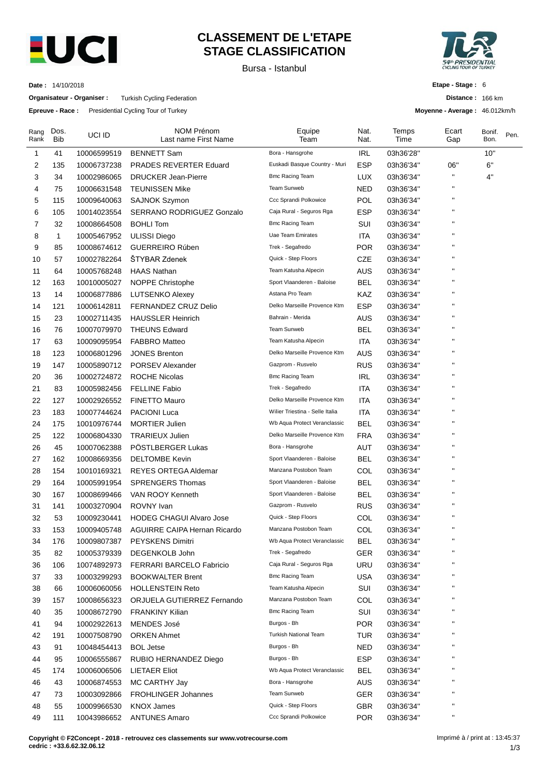

## **CLASSEMENT DE L'ETAPE STAGE CLASSIFICATION**

Bursa - Istanbul



**Distance :** 166 km **Moyenne - Average :** 46.012km/h

**Etape - Stage :** 6

**Date :** 14/10/2018

**Organisateur - Organiser :** Turkish Cycling Federation

**Epreuve - Race :** Presidential Cycling Tour of Turkey

| Rang<br>Rank | Dos.<br><b>Bib</b> | UCI ID                     | NOM Prénom<br>Last name First Name                    | Equipe<br>Team                  | Nat.<br>Nat. | Temps<br>Time          | Ecart<br>Gap       | Bonif.<br>Bon. | Pen. |
|--------------|--------------------|----------------------------|-------------------------------------------------------|---------------------------------|--------------|------------------------|--------------------|----------------|------|
| 1            | 41                 | 10006599519                | <b>BENNETT Sam</b>                                    | Bora - Hansgrohe                | IRL          | 03h36'28"              |                    | 10"            |      |
| 2            | 135                | 10006737238                | <b>PRADES REVERTER Eduard</b>                         | Euskadi Basque Country - Muri   | ESP          | 03h36'34"              | 06"                | 6"             |      |
| 3            | 34                 | 10002986065                | <b>DRUCKER Jean-Pierre</b>                            | <b>Bmc Racing Team</b>          | LUX          | 03h36'34"              | н                  | 4"             |      |
| 4            | 75                 | 10006631548                | <b>TEUNISSEN Mike</b>                                 | Team Sunweb                     | <b>NED</b>   | 03h36'34"              | п                  |                |      |
| 5            | 115                | 10009640063                | <b>SAJNOK Szymon</b>                                  | Ccc Sprandi Polkowice           | POL          | 03h36'34"              | п                  |                |      |
| 6            | 105                | 10014023554                | SERRANO RODRIGUEZ Gonzalo                             | Caja Rural - Seguros Rga        | ESP          | 03h36'34"              | п                  |                |      |
| 7            | 32                 | 10008664508                | <b>BOHLI Tom</b>                                      | Bmc Racing Team                 | SUI          | 03h36'34"              | п                  |                |      |
| 8            | 1                  | 10005467952                | <b>ULISSI Diego</b>                                   | Uae Team Emirates               | <b>ITA</b>   | 03h36'34"              | п                  |                |      |
| 9            | 85                 | 10008674612                | <b>GUERREIRO Rúben</b>                                | Trek - Segafredo                | <b>POR</b>   | 03h36'34"              | п                  |                |      |
| 10           | 57                 | 10002782264                | <b>STYBAR Zdenek</b>                                  | Quick - Step Floors             | CZE          | 03h36'34"              | п                  |                |      |
| 11           | 64                 | 10005768248                | <b>HAAS Nathan</b>                                    | Team Katusha Alpecin            | <b>AUS</b>   | 03h36'34"              | п                  |                |      |
| 12           | 163                | 10010005027                | <b>NOPPE Christophe</b>                               | Sport Vlaanderen - Baloise      | BEL          | 03h36'34"              | п                  |                |      |
| 13           | 14                 | 10006877886                | <b>LUTSENKO Alexey</b>                                | Astana Pro Team                 | <b>KAZ</b>   | 03h36'34"              | п                  |                |      |
| 14           | 121                | 10006142811                | <b>FERNANDEZ CRUZ Delio</b>                           | Delko Marseille Provence Ktm    | ESP          | 03h36'34"              | п                  |                |      |
| 15           | 23                 | 10002711435                | <b>HAUSSLER Heinrich</b>                              | Bahrain - Merida                | <b>AUS</b>   | 03h36'34"              | п                  |                |      |
| 16           | 76                 | 10007079970                | <b>THEUNS Edward</b>                                  | <b>Team Sunweb</b>              | BEL          | 03h36'34"              | п                  |                |      |
| 17           | 63                 | 10009095954                | <b>FABBRO Matteo</b>                                  | Team Katusha Alpecin            | <b>ITA</b>   | 03h36'34"              | п                  |                |      |
| 18           | 123                | 10006801296                | <b>JONES Brenton</b>                                  | Delko Marseille Provence Ktm    | AUS          | 03h36'34"              | п                  |                |      |
| 19           | 147                | 10005890712                | <b>PORSEV Alexander</b>                               | Gazprom - Rusvelo               | <b>RUS</b>   | 03h36'34"              | п                  |                |      |
| 20           | 36                 | 10002724872                | <b>ROCHE Nicolas</b>                                  | <b>Bmc Racing Team</b>          | <b>IRL</b>   | 03h36'34"              | п                  |                |      |
| 21           | 83                 | 10005982456                | <b>FELLINE Fabio</b>                                  | Trek - Segafredo                | ITA          | 03h36'34"              | п                  |                |      |
| 22           | 127                | 10002926552                | <b>FINETTO Mauro</b>                                  | Delko Marseille Provence Ktm    | ITA          | 03h36'34"              | п                  |                |      |
| 23           | 183                | 10007744624                | <b>PACIONI Luca</b>                                   | Wilier Triestina - Selle Italia | <b>ITA</b>   | 03h36'34"              | п                  |                |      |
| 24           | 175                | 10010976744                | <b>MORTIER Julien</b>                                 | Wb Aqua Protect Veranclassic    | <b>BEL</b>   | 03h36'34"              | п                  |                |      |
| 25           | 122                | 10006804330                | <b>TRARIEUX Julien</b>                                | Delko Marseille Provence Ktm    | <b>FRA</b>   | 03h36'34"              | п                  |                |      |
| 26           | 45                 | 10007062388                | PÖSTLBERGER Lukas                                     | Bora - Hansgrohe                | <b>AUT</b>   | 03h36'34"              | п                  |                |      |
| 27           | 162                | 10008669356                | <b>DELTOMBE Kevin</b>                                 | Sport Vlaanderen - Baloise      | <b>BEL</b>   | 03h36'34"              | п                  |                |      |
| 28           | 154                | 10010169321                | <b>REYES ORTEGA Aldemar</b>                           | Manzana Postobon Team           | COL          | 03h36'34"              | $\blacksquare$     |                |      |
| 29           | 164                | 10005991954                | <b>SPRENGERS Thomas</b>                               | Sport Vlaanderen - Baloise      | <b>BEL</b>   | 03h36'34"              | п                  |                |      |
| 30           | 167                | 10008699466                | VAN ROOY Kenneth                                      | Sport Vlaanderen - Baloise      | BEL          | 03h36'34"              | п                  |                |      |
| 31           | 141                | 10003270904                | ROVNY Ivan                                            | Gazprom - Rusvelo               | <b>RUS</b>   | 03h36'34"              | п                  |                |      |
| 32           | 53                 | 10009230441                | <b>HODEG CHAGUI Alvaro Jose</b>                       | Quick - Step Floors             | COL          | 03h36'34"              | п                  |                |      |
| 33           | 153                | 10009405748                | AGUIRRE CAIPA Hernan Ricardo                          | Manzana Postobon Team           | COL          | 03h36'34"              | $\pmb{\mathsf{H}}$ |                |      |
| 34           | 176                | 10009807387                | <b>PEYSKENS Dimitri</b>                               | Wb Aqua Protect Veranclassic    | <b>BEL</b>   | 03h36'34"              | $\pmb{\mathsf{H}}$ |                |      |
| 35           | 82                 | 10005379339                | DEGENKOLB John                                        | Trek - Segafredo                | GER          | 03h36'34"              | п                  |                |      |
| 36           | 106                | 10074892973                | FERRARI BARCELO Fabricio                              | Caja Rural - Seguros Rga        | <b>URU</b>   | 03h36'34"              | п                  |                |      |
| 37           | 33                 | 10003299293                | <b>BOOKWALTER Brent</b>                               | <b>Bmc Racing Team</b>          | <b>USA</b>   | 03h36'34"              | п                  |                |      |
| 38           | 66                 |                            |                                                       | Team Katusha Alpecin            | SUI          |                        | п                  |                |      |
|              |                    | 10006060056<br>10008656323 | <b>HOLLENSTEIN Reto</b><br>ORJUELA GUTIERREZ Fernando | Manzana Postobon Team           | COL          | 03h36'34"<br>03h36'34" |                    |                |      |
| 39           | 157                |                            |                                                       | <b>Bmc Racing Team</b>          |              |                        | п                  |                |      |
| 40           | 35                 | 10008672790                | <b>FRANKINY Kilian</b>                                | Burgos - Bh                     | SUI          | 03h36'34"              | п                  |                |      |
| 41           | 94                 | 10002922613                | MENDES José                                           | <b>Turkish National Team</b>    | <b>POR</b>   | 03h36'34"              | п                  |                |      |
| 42           | 191                | 10007508790                | <b>ORKEN Ahmet</b>                                    | Burgos - Bh                     | TUR          | 03h36'34"              | п                  |                |      |
| 43           | 91                 | 10048454413                | <b>BOL Jetse</b>                                      |                                 | <b>NED</b>   | 03h36'34"              | п                  |                |      |
| 44           | 95                 | 10006555867                | RUBIO HERNANDEZ Diego                                 | Burgos - Bh                     | <b>ESP</b>   | 03h36'34"              | п                  |                |      |
| 45           | 174                | 10006006506                | LIETAER Eliot                                         | Wb Aqua Protect Veranclassic    | <b>BEL</b>   | 03h36'34"              | п                  |                |      |
| 46           | 43                 | 10006874553                | MC CARTHY Jay                                         | Bora - Hansgrohe                | <b>AUS</b>   | 03h36'34"              | п                  |                |      |
| 47           | 73                 | 10003092866                | <b>FROHLINGER Johannes</b>                            | Team Sunweb                     | <b>GER</b>   | 03h36'34"              | п                  |                |      |
| 48           | 55                 | 10009966530                | <b>KNOX James</b>                                     | Quick - Step Floors             | <b>GBR</b>   | 03h36'34"              | п                  |                |      |
| 49           | 111                | 10043986652                | <b>ANTUNES Amaro</b>                                  | Ccc Sprandi Polkowice           | <b>POR</b>   | 03h36'34"              |                    |                |      |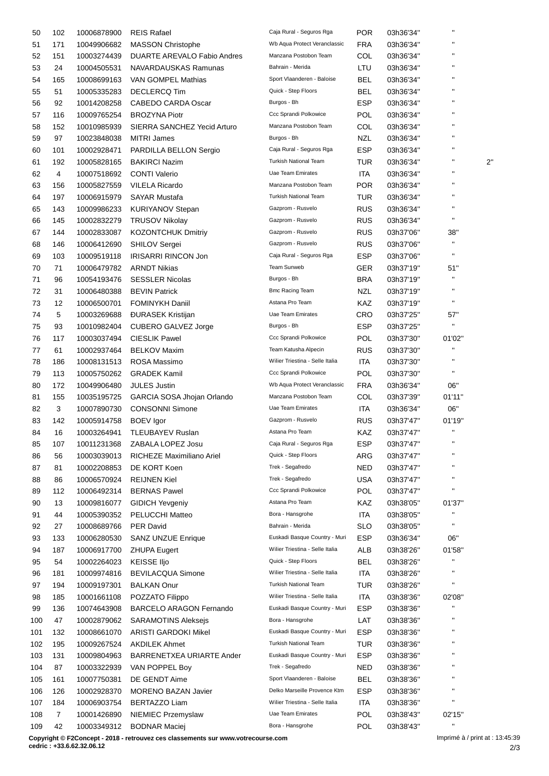| 50  | 102            | 10006878900 | <b>REIS Rafael</b>                | Caja Rural - Seguros Rga        | <b>POR</b> | 03h36'34" |                    |              |
|-----|----------------|-------------|-----------------------------------|---------------------------------|------------|-----------|--------------------|--------------|
| 51  | 171            | 10049906682 | <b>MASSON Christophe</b>          | Wb Aqua Protect Veranclassic    | <b>FRA</b> | 03h36'34" | П                  |              |
| 52  | 151            | 10003274439 | DUARTE AREVALO Fabio Andres       | Manzana Postobon Team           | COL        | 03h36'34" | н                  |              |
| 53  | 24             | 10004505531 | NAVARDAUSKAS Ramunas              | Bahrain - Merida                | LTU        | 03h36'34" | $\blacksquare$     |              |
| 54  | 165            | 10008699163 | VAN GOMPEL Mathias                | Sport Vlaanderen - Baloise      | BEL        | 03h36'34" | $\pmb{\mathsf{H}}$ |              |
| 55  | 51             | 10005335283 | <b>DECLERCQ Tim</b>               | Quick - Step Floors             | <b>BEL</b> | 03h36'34" | $\blacksquare$     |              |
| 56  | 92             | 10014208258 | <b>CABEDO CARDA Oscar</b>         | Burgos - Bh                     | <b>ESP</b> | 03h36'34" |                    |              |
| 57  | 116            | 10009765254 | <b>BROZYNA Piotr</b>              | Ccc Sprandi Polkowice           | <b>POL</b> | 03h36'34" |                    |              |
| 58  | 152            | 10010985939 | SIERRA SANCHEZ Yecid Arturo       | Manzana Postobon Team           | COL        | 03h36'34" | $\blacksquare$     |              |
| 59  | 97             |             | <b>MITRI James</b>                | Burgos - Bh                     | NZL        |           | н                  |              |
|     |                | 10023848038 |                                   | Caja Rural - Seguros Rga        |            | 03h36'34" | $\pmb{\mathsf{H}}$ |              |
| 60  | 101            | 10002928471 | PARDILLA BELLON Sergio            | <b>Turkish National Team</b>    | <b>ESP</b> | 03h36'34" | $\blacksquare$     |              |
| 61  | 192            | 10005828165 | <b>BAKIRCI Nazim</b>              |                                 | TUR        | 03h36'34" | $\pmb{\mathsf{H}}$ | $2^{\prime}$ |
| 62  | 4              | 10007518692 | <b>CONTI Valerio</b>              | <b>Uae Team Emirates</b>        | ITA        | 03h36'34" | $\mathbf{H}$       |              |
| 63  | 156            | 10005827559 | <b>VILELA Ricardo</b>             | Manzana Postobon Team           | <b>POR</b> | 03h36'34" |                    |              |
| 64  | 197            | 10006915979 | <b>SAYAR Mustafa</b>              | <b>Turkish National Team</b>    | TUR        | 03h36'34" | $\pmb{\mathsf{H}}$ |              |
| 65  | 143            | 10009986233 | <b>KURIYANOV Stepan</b>           | Gazprom - Rusvelo               | <b>RUS</b> | 03h36'34" | $\blacksquare$     |              |
| 66  | 145            | 10002832279 | <b>TRUSOV Nikolay</b>             | Gazprom - Rusvelo               | <b>RUS</b> | 03h36'34" | $\mathbf{H}$       |              |
| 67  | 144            | 10002833087 | <b>KOZONTCHUK Dmitriy</b>         | Gazprom - Rusvelo               | <b>RUS</b> | 03h37'06" | 38"                |              |
| 68  | 146            | 10006412690 | SHILOV Sergei                     | Gazprom - Rusvelo               | <b>RUS</b> | 03h37'06" | $\mathbf{H}$       |              |
| 69  | 103            | 10009519118 | <b>IRISARRI RINCON Jon</b>        | Caja Rural - Seguros Rga        | <b>ESP</b> | 03h37'06" | $\mathbf{H}$       |              |
| 70  | 71             | 10006479782 | <b>ARNDT Nikias</b>               | <b>Team Sunweb</b>              | GER        | 03h37'19" | 51"                |              |
| 71  | 96             | 10054193476 | <b>SESSLER Nicolas</b>            | Burgos - Bh                     | <b>BRA</b> | 03h37'19" | $\mathbf{H}$       |              |
| 72  | 31             | 10006480388 | <b>BEVIN Patrick</b>              | <b>Bmc Racing Team</b>          | NZL        | 03h37'19" | $\blacksquare$     |              |
| 73  | 12             | 10006500701 | <b>FOMINYKH Daniil</b>            | Astana Pro Team                 | KAZ        | 03h37'19" | $\mathbf{H}$       |              |
| 74  | 5              | 10003269688 | <b>DURASEK Kristijan</b>          | Uae Team Emirates               | CRO        | 03h37'25" | 57"                |              |
| 75  | 93             | 10010982404 | CUBERO GALVEZ Jorge               | Burgos - Bh                     | <b>ESP</b> | 03h37'25" | п                  |              |
| 76  | 117            | 10003037494 | <b>CIESLIK Pawel</b>              | Ccc Sprandi Polkowice           | <b>POL</b> | 03h37'30" | 01'02"             |              |
| 77  | 61             | 10002937464 | <b>BELKOV Maxim</b>               | Team Katusha Alpecin            | <b>RUS</b> | 03h37'30" | $\mathbf{H}$       |              |
| 78  | 186            | 10008131513 | ROSA Massimo                      | Wilier Triestina - Selle Italia | ITA        | 03h37'30" | $\mathbf{H}$       |              |
|     |                |             |                                   | Ccc Sprandi Polkowice           |            |           | $\mathbf{H}$       |              |
| 79  | 113            | 10005750262 | <b>GRADEK Kamil</b>               |                                 | POL        | 03h37'30" |                    |              |
| 80  | 172            | 10049906480 | <b>JULES Justin</b>               | Wb Aqua Protect Veranclassic    | <b>FRA</b> | 03h36'34" | 06"                |              |
| 81  | 155            | 10035195725 | <b>GARCIA SOSA Jhojan Orlando</b> | Manzana Postobon Team           | COL        | 03h37'39" | 01'11"             |              |
| 82  | 3              | 10007890730 | <b>CONSONNI Simone</b>            | Uae Team Emirates               | ITA        | 03h36'34" | 06"                |              |
| 83  | 142            | 10005914758 | <b>BOEV</b> Igor                  | Gazprom - Rusvelo               | <b>RUS</b> | 03h37'47" | 01'19"             |              |
| 84  | 16             | 10003264941 | <b>TLEUBAYEV Ruslan</b>           | Astana Pro Team                 | KAZ        | 03h37'47" | $\mathbf{H}$       |              |
| 85  | 107            | 10011231368 | ZABALA LOPEZ Josu                 | Caja Rural - Seguros Rga        | ESP        | 03h37'47" |                    |              |
| 86  | 56             | 10003039013 | RICHEZE Maximiliano Ariel         | Quick - Step Floors             | ARG        | 03h37'47" | $\pmb{\mathsf{H}}$ |              |
| 87  | 81             | 10002208853 | DE KORT Koen                      | Trek - Segafredo                | <b>NED</b> | 03h37'47" |                    |              |
| 88  | 86             | 10006570924 | <b>REIJNEN Kiel</b>               | Trek - Segafredo                | <b>USA</b> | 03h37'47" | П                  |              |
| 89  | 112            | 10006492314 | <b>BERNAS Pawel</b>               | Ccc Sprandi Polkowice           | POL        | 03h37'47" | $\blacksquare$     |              |
| 90  | 13             | 10009816077 | <b>GIDICH Yevgeniy</b>            | Astana Pro Team                 | KAZ        | 03h38'05" | 01'37"             |              |
| 91  | 44             | 10005390352 | PELUCCHI Matteo                   | Bora - Hansgrohe                | <b>ITA</b> | 03h38'05" | н                  |              |
| 92  | 27             | 10008689766 | <b>PER David</b>                  | Bahrain - Merida                | SLO        | 03h38'05" | $\mathbf{H}$       |              |
| 93  | 133            | 10006280530 | <b>SANZ UNZUE Enrique</b>         | Euskadi Basque Country - Muri   | <b>ESP</b> | 03h36'34" | 06"                |              |
| 94  | 187            | 10006917700 | <b>ZHUPA Eugert</b>               | Wilier Triestina - Selle Italia | ALB        | 03h38'26" | 01'58"             |              |
| 95  | 54             | 10002264023 | <b>KEISSE IIjo</b>                | Quick - Step Floors             | <b>BEL</b> | 03h38'26" | н                  |              |
| 96  | 181            | 10009974816 | <b>BEVILACQUA Simone</b>          | Wilier Triestina - Selle Italia | ITA        | 03h38'26" |                    |              |
| 97  | 194            | 10009197301 | <b>BALKAN Onur</b>                | <b>Turkish National Team</b>    | <b>TUR</b> | 03h38'26" | П                  |              |
| 98  | 185            | 10001661108 | POZZATO Filippo                   | Wilier Triestina - Selle Italia | ITA        | 03h38'36" | 02'08"             |              |
| 99  | 136            | 10074643908 | <b>BARCELO ARAGON Fernando</b>    | Euskadi Basque Country - Muri   | ESP        | 03h38'36" | П                  |              |
| 100 | 47             | 10002879062 | <b>SARAMOTINS Aleksejs</b>        | Bora - Hansgrohe                | LAT        | 03h38'36" | н                  |              |
|     |                |             |                                   | Euskadi Basque Country - Muri   | <b>ESP</b> |           | П                  |              |
| 101 | 132            | 10008661070 | <b>ARISTI GARDOKI Mikel</b>       |                                 |            | 03h38'36" | $\pmb{\mathsf{H}}$ |              |
| 102 | 195            | 10009267524 | <b>AKDILEK Ahmet</b>              | <b>Turkish National Team</b>    | TUR        | 03h38'36" |                    |              |
| 103 | 131            | 10009804963 | BARRENETXEA URIARTE Ander         | Euskadi Basque Country - Muri   | <b>ESP</b> | 03h38'36" |                    |              |
| 104 | 87             | 10003322939 | VAN POPPEL Boy                    | Trek - Segafredo                | <b>NED</b> | 03h38'36" | н                  |              |
| 105 | 161            | 10007750381 | DE GENDT Aime                     | Sport Vlaanderen - Baloise      | <b>BEL</b> | 03h38'36" | П                  |              |
| 106 | 126            | 10002928370 | <b>MORENO BAZAN Javier</b>        | Delko Marseille Provence Ktm    | ESP        | 03h38'36" | н                  |              |
| 107 | 184            | 10006903754 | <b>BERTAZZO Liam</b>              | Wilier Triestina - Selle Italia | <b>ITA</b> | 03h38'36" | Н                  |              |
| 108 | $\overline{7}$ | 10001426890 | NIEMIEC Przemyslaw                | <b>Uae Team Emirates</b>        | <b>POL</b> | 03h38'43" | 02'15"             |              |
| 109 | 42             | 10003349312 | <b>BODNAR Maciej</b>              | Bora - Hansgrohe                | <b>POL</b> | 03h38'43" | н                  |              |

**Copyright © F2Concept - 2018 - retrouvez ces classements sur www.votrecourse.com**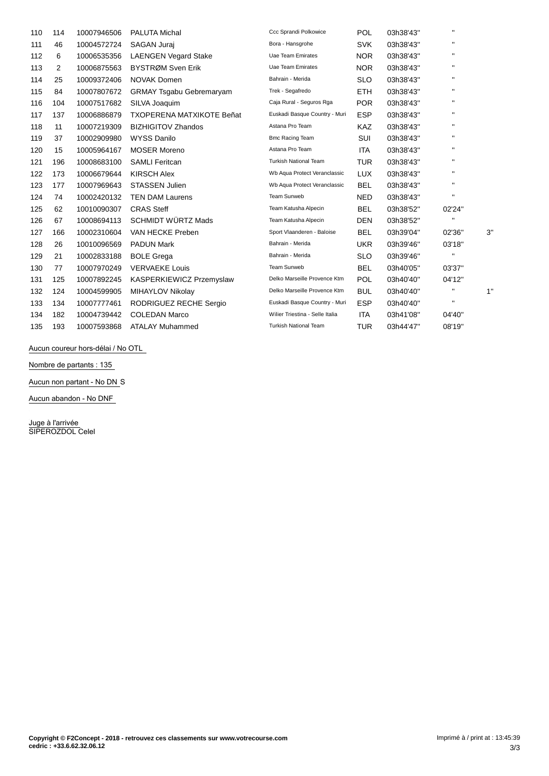| 110 | 114 | 10007946506 | <b>PALUTA Michal</b>             | Ccc Sprandi Polkowice           | <b>POL</b> | 03h38'43" |              |    |
|-----|-----|-------------|----------------------------------|---------------------------------|------------|-----------|--------------|----|
| 111 | 46  | 10004572724 | <b>SAGAN Jurai</b>               | Bora - Hansgrohe                | <b>SVK</b> | 03h38'43" |              |    |
| 112 | 6   | 10006535356 | <b>LAENGEN Vegard Stake</b>      | Uae Team Emirates               | <b>NOR</b> | 03h38'43" |              |    |
| 113 | 2   | 10006875563 | BYSTRØM Sven Erik                | Uae Team Emirates               | <b>NOR</b> | 03h38'43" | $\mathbf{H}$ |    |
| 114 | 25  | 10009372406 | <b>NOVAK Domen</b>               | Bahrain - Merida                | SLO        | 03h38'43" | $\mathbf{H}$ |    |
| 115 | 84  | 10007807672 | <b>GRMAY Tsgabu Gebremaryam</b>  | Trek - Segafredo                | <b>ETH</b> | 03h38'43" |              |    |
| 116 | 104 | 10007517682 | SILVA Joaquim                    | Caja Rural - Seguros Rga        | <b>POR</b> | 03h38'43" |              |    |
| 117 | 137 | 10006886879 | <b>TXOPERENA MATXIKOTE Beñat</b> | Euskadi Basque Country - Muri   | <b>ESP</b> | 03h38'43" |              |    |
| 118 | 11  | 10007219309 | <b>BIZHIGITOV Zhandos</b>        | Astana Pro Team                 | <b>KAZ</b> | 03h38'43" |              |    |
| 119 | 37  | 10002909980 | <b>WYSS Danilo</b>               | <b>Bmc Racing Team</b>          | SUI        | 03h38'43" |              |    |
| 120 | 15  | 10005964167 | <b>MOSER Moreno</b>              | Astana Pro Team                 | <b>ITA</b> | 03h38'43" |              |    |
| 121 | 196 | 10008683100 | <b>SAMLI Feritcan</b>            | <b>Turkish National Team</b>    | <b>TUR</b> | 03h38'43" | $\mathbf{H}$ |    |
| 122 | 173 | 10006679644 | <b>KIRSCH Alex</b>               | Wb Aqua Protect Veranclassic    | <b>LUX</b> | 03h38'43" |              |    |
| 123 | 177 | 10007969643 | <b>STASSEN Julien</b>            | Wb Aqua Protect Veranclassic    | <b>BEL</b> | 03h38'43" | $\mathbf{H}$ |    |
| 124 | 74  | 10002420132 | <b>TEN DAM Laurens</b>           | Team Sunweb                     | <b>NED</b> | 03h38'43" | $\mathbf{H}$ |    |
| 125 | 62  | 10010090307 | <b>CRAS Steff</b>                | Team Katusha Alpecin            | <b>BEL</b> | 03h38'52" | 02'24"       |    |
| 126 | 67  | 10008694113 | <b>SCHMIDT WÜRTZ Mads</b>        | Team Katusha Alpecin            | <b>DEN</b> | 03h38'52" | $\mathbf{H}$ |    |
| 127 | 166 | 10002310604 | VAN HECKE Preben                 | Sport Vlaanderen - Baloise      | <b>BEL</b> | 03h39'04" | 02'36"       | 3" |
| 128 | 26  | 10010096569 | <b>PADUN Mark</b>                | Bahrain - Merida                | <b>UKR</b> | 03h39'46" | 03'18"       |    |
| 129 | 21  | 10002833188 | <b>BOLE Grega</b>                | Bahrain - Merida                | <b>SLO</b> | 03h39'46" | $\mathbf{H}$ |    |
| 130 | 77  | 10007970249 | <b>VERVAEKE Louis</b>            | Team Sunweb                     | <b>BEL</b> | 03h40'05" | 03'37"       |    |
| 131 | 125 | 10007892245 | KASPERKIEWICZ Przemyslaw         | Delko Marseille Provence Ktm    | <b>POL</b> | 03h40'40" | 04'12"       |    |
| 132 | 124 | 10004599905 | MIHAYLOV Nikolay                 | Delko Marseille Provence Ktm    | <b>BUL</b> | 03h40'40" |              | 1" |
| 133 | 134 | 10007777461 | RODRIGUEZ RECHE Sergio           | Euskadi Basque Country - Muri   | <b>ESP</b> | 03h40'40" | $\mathbf{H}$ |    |
| 134 | 182 | 10004739442 | <b>COLEDAN Marco</b>             | Wilier Triestina - Selle Italia | <b>ITA</b> | 03h41'08" | 04'40"       |    |
| 135 | 193 | 10007593868 | <b>ATALAY Muhammed</b>           | <b>Turkish National Team</b>    | TUR        | 03h44'47" | 08'19"       |    |

**Aucun coureur hors-dÈlai / No OTL**

**Nombre de partants : 135**

**Aucun non partant - No DN** S

**Aucun abandon - No DNF**

Juge à l'arrivée SIPEROZDOL Celel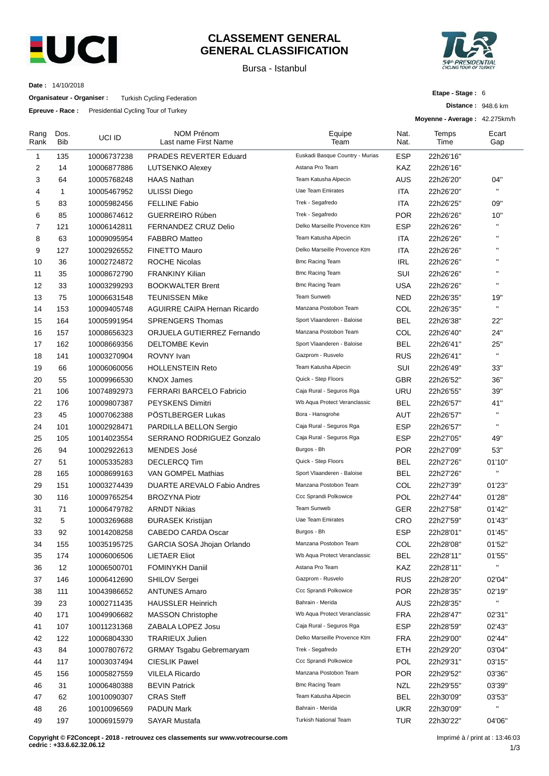

#### **CLASSEMENT GENERAL GENERAL CLASSIFICATION**

Bursa - Istanbul



**Etape - Stage :** 6

**Distance :** 948.6 km

**Date :** 14/10/2018

**Organisateur - Organiser :** Turkish Cycling Federation

**Epreuve - Race :** Presidential Cycling Tour of Turkey

|                |             | <b>Epieuve - Race.</b> Fiesidenial Cycling Tour of Turkey |                                           |                                 |              | Moyenne - Average: 42.275km/h |              |
|----------------|-------------|-----------------------------------------------------------|-------------------------------------------|---------------------------------|--------------|-------------------------------|--------------|
| Rang<br>Rank   | Dos.<br>Bib | UCI ID                                                    | <b>NOM Prénom</b><br>Last name First Name | Equipe<br>Team                  | Nat.<br>Nat. | Temps<br>Time                 | Ecart<br>Gap |
| $\mathbf{1}$   | 135         | 10006737238                                               | <b>PRADES REVERTER Eduard</b>             | Euskadi Basque Country - Murias | <b>ESP</b>   | 22h26'16"                     |              |
| $\overline{2}$ | 14          | 10006877886                                               | <b>LUTSENKO Alexey</b>                    | Astana Pro Team                 | KAZ          | 22h26'16"                     |              |
| 3              | 64          | 10005768248                                               | <b>HAAS Nathan</b>                        | Team Katusha Alpecin            | AUS          | 22h26'20"                     | 04"          |
| 4              | 1           | 10005467952                                               | <b>ULISSI Diego</b>                       | Uae Team Emirates               | ITA          | 22h26'20"                     | $\mathbf{H}$ |
| 5              | 83          | 10005982456                                               | <b>FELLINE Fabio</b>                      | Trek - Segafredo                | ITA          | 22h26'25"                     | 09"          |
| 6              | 85          | 10008674612                                               | <b>GUERREIRO Rúben</b>                    | Trek - Segafredo                | <b>POR</b>   | 22h26'26"                     | 10"          |
| 7              | 121         | 10006142811                                               | <b>FERNANDEZ CRUZ Delio</b>               | Delko Marseille Provence Ktm    | <b>ESP</b>   | 22h26'26"                     | $\mathbf{H}$ |
| 8              | 63          | 10009095954                                               | <b>FABBRO Matteo</b>                      | Team Katusha Alpecin            | ITA          | 22h26'26"                     | $\mathbf{H}$ |
| 9              | 127         | 10002926552                                               | <b>FINETTO Mauro</b>                      | Delko Marseille Provence Ktm    | <b>ITA</b>   | 22h26'26"                     | $\mathbf{H}$ |
| 10             | 36          | 10002724872                                               | <b>ROCHE Nicolas</b>                      | <b>Bmc Racing Team</b>          | <b>IRL</b>   | 22h26'26"                     | $\mathbf{H}$ |
| 11             | 35          | 10008672790                                               | <b>FRANKINY Kilian</b>                    | <b>Bmc Racing Team</b>          | SUI          | 22h26'26"                     | $\mathbf{H}$ |
| 12             | 33          | 10003299293                                               | <b>BOOKWALTER Brent</b>                   | <b>Bmc Racing Team</b>          | USA          | 22h26'26"                     | $\mathbf{H}$ |
| 13             | 75          | 10006631548                                               | <b>TEUNISSEN Mike</b>                     | Team Sunweb                     | <b>NED</b>   | 22h26'35"                     | 19"          |
| 14             | 153         | 10009405748                                               | <b>AGUIRRE CAIPA Hernan Ricardo</b>       | Manzana Postobon Team           | COL          | 22h26'35"                     | $\mathbf{H}$ |
| 15             | 164         | 10005991954                                               | <b>SPRENGERS Thomas</b>                   | Sport Vlaanderen - Baloise      | <b>BEL</b>   | 22h26'38"                     | 22"          |
| 16             | 157         | 10008656323                                               | ORJUELA GUTIERREZ Fernando                | Manzana Postobon Team           | COL          | 22h26'40"                     | 24"          |
| 17             | 162         | 10008669356                                               | <b>DELTOMBE Kevin</b>                     | Sport Vlaanderen - Baloise      | <b>BEL</b>   | 22h26'41"                     | 25"          |
| 18             | 141         | 10003270904                                               | ROVNY Ivan                                | Gazprom - Rusvelo               | RUS          | 22h26'41"                     | $\mathbf{H}$ |
| 19             | 66          | 10006060056                                               | <b>HOLLENSTEIN Reto</b>                   | Team Katusha Alpecin            | SUI          | 22h26'49"                     | 33"          |
| 20             | 55          | 10009966530                                               | <b>KNOX James</b>                         | Quick - Step Floors             | GBR          | 22h26'52"                     | 36"          |
| 21             | 106         | 10074892973                                               | <b>FERRARI BARCELO Fabricio</b>           | Caja Rural - Seguros Rga        | URU          | 22h26'55"                     | 39"          |
| 22             | 176         | 10009807387                                               | <b>PEYSKENS Dimitri</b>                   | Wb Aqua Protect Veranclassic    | <b>BEL</b>   | 22h26'57"                     | 41"          |
| 23             | 45          | 10007062388                                               | PÖSTLBERGER Lukas                         | Bora - Hansgrohe                | AUT          | 22h26'57"                     | $\mathbf{H}$ |
| 24             | 101         | 10002928471                                               | PARDILLA BELLON Sergio                    | Caja Rural - Seguros Rga        | <b>ESP</b>   | 22h26'57"                     | H.           |
| 25             | 105         | 10014023554                                               | SERRANO RODRIGUEZ Gonzalo                 | Caja Rural - Seguros Rga        | <b>ESP</b>   | 22h27'05"                     | 49"          |
| 26             | 94          | 10002922613                                               | <b>MENDES José</b>                        | Burgos - Bh                     | <b>POR</b>   | 22h27'09"                     | 53"          |
| 27             | 51          | 10005335283                                               | <b>DECLERCQ Tim</b>                       | Quick - Step Floors             | <b>BEL</b>   | 22h27'26"                     | 01'10"       |
| 28             | 165         | 10008699163                                               | VAN GOMPEL Mathias                        | Sport Vlaanderen - Baloise      | <b>BEL</b>   | 22h27'26"                     | $\mathbf{H}$ |
| 29             | 151         | 10003274439                                               | <b>DUARTE AREVALO Fabio Andres</b>        | Manzana Postobon Team           | COL          | 22h27'39"                     | 01'23"       |
| 30             | 116         | 10009765254                                               | <b>BROZYNA Piotr</b>                      | Ccc Sprandi Polkowice           | <b>POL</b>   | 22h27'44"                     | 01'28"       |
| 31             | 71          | 10006479782                                               | <b>ARNDT Nikias</b>                       | <b>Team Sunweb</b>              | GER          | 22h27'58"                     | 01'42"       |
| 32             | 5           | 10003269688                                               | <b>DURASEK Kristijan</b>                  | Uae Team Emirates               | CRO          | 22h27'59"                     | 01'43"       |
| 33             | 92          | 10014208258                                               | <b>CABEDO CARDA Oscar</b>                 | Burgos - Bh                     | <b>ESP</b>   | 22h28'01"                     | 01'45"       |
| 34             | 155         | 10035195725                                               | GARCIA SOSA Jhojan Orlando                | Manzana Postobon Team           | COL          | 22h28'08"                     | 01'52"       |
| 35             | 174         | 10006006506                                               | <b>LIETAER Eliot</b>                      | Wb Aqua Protect Veranclassic    | <b>BEL</b>   | 22h28'11"                     | 01'55"       |
| 36             | 12          | 10006500701                                               | <b>FOMINYKH Daniil</b>                    | Astana Pro Team                 | KAZ          | 22h28'11"                     | н.           |
| 37             | 146         | 10006412690                                               | <b>SHILOV Sergei</b>                      | Gazprom - Rusvelo               | <b>RUS</b>   | 22h28'20"                     | 02'04"       |
| 38             | 111         | 10043986652                                               | <b>ANTUNES Amaro</b>                      | Ccc Sprandi Polkowice           | <b>POR</b>   | 22h28'35"                     | 02'19"       |
| 39             | 23          | 10002711435                                               | <b>HAUSSLER Heinrich</b>                  | Bahrain - Merida                | AUS          | 22h28'35"                     | $\mathbf{u}$ |
| 40             | 171         | 10049906682                                               | <b>MASSON Christophe</b>                  | Wb Aqua Protect Veranclassic    | <b>FRA</b>   | 22h28'47"                     | 02'31"       |
| 41             | 107         | 10011231368                                               | ZABALA LOPEZ Josu                         | Caja Rural - Seguros Rga        | <b>ESP</b>   | 22h28'59"                     | 02'43"       |
| 42             | 122         | 10006804330                                               | <b>TRARIEUX Julien</b>                    | Delko Marseille Provence Ktm    | <b>FRA</b>   | 22h29'00"                     | 02'44"       |
| 43             | 84          | 10007807672                                               | <b>GRMAY Tsgabu Gebremaryam</b>           | Trek - Segafredo                | <b>ETH</b>   | 22h29'20"                     | 03'04"       |
| 44             | 117         | 10003037494                                               | <b>CIESLIK Pawel</b>                      | Ccc Sprandi Polkowice           | POL          | 22h29'31"                     | 03'15"       |
| 45             | 156         | 10005827559                                               | <b>VILELA Ricardo</b>                     | Manzana Postobon Team           | <b>POR</b>   | 22h29'52"                     | 03'36"       |
| 46             | 31          | 10006480388                                               | <b>BEVIN Patrick</b>                      | <b>Bmc Racing Team</b>          | <b>NZL</b>   | 22h29'55"                     | 03'39"       |
| 47             | 62          | 10010090307                                               | <b>CRAS Steff</b>                         | Team Katusha Alpecin            | <b>BEL</b>   | 22h30'09"                     | 03'53"       |
| 48             | 26          | 10010096569                                               | <b>PADUN Mark</b>                         | Bahrain - Merida                | <b>UKR</b>   | 22h30'09"                     | H.           |
| 49             | 197         | 10006915979                                               | <b>SAYAR Mustafa</b>                      | Turkish National Team           | <b>TUR</b>   | 22h30'22"                     | 04'06"       |
|                |             |                                                           |                                           |                                 |              |                               |              |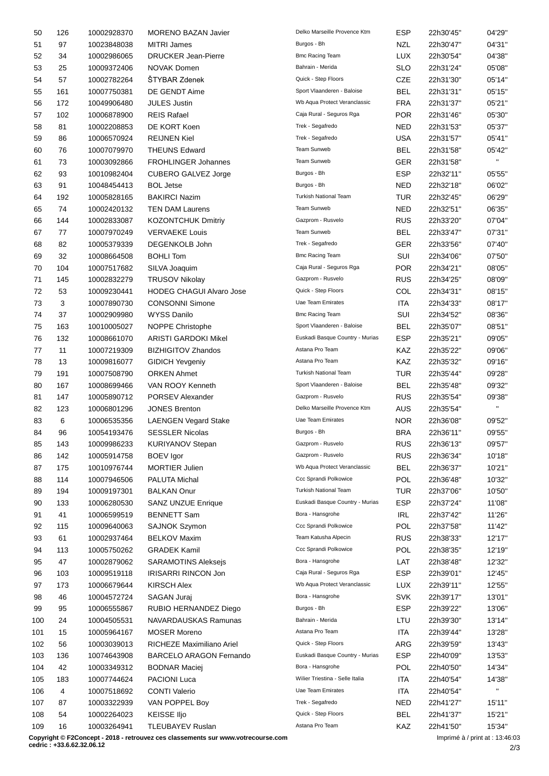| 50  | 126 | 10002928370 | <b>MORENO BAZAN Javier</b>      | Delko Marseille Provence Ktm    | <b>ESP</b> | 22h30'45" | 04'29"       |
|-----|-----|-------------|---------------------------------|---------------------------------|------------|-----------|--------------|
| 51  | 97  | 10023848038 | <b>MITRI James</b>              | Burgos - Bh                     | NZL        | 22h30'47" | 04'31"       |
| 52  | 34  | 10002986065 | <b>DRUCKER Jean-Pierre</b>      | <b>Bmc Racing Team</b>          | <b>LUX</b> | 22h30'54" | 04'38"       |
| 53  | 25  | 10009372406 | <b>NOVAK Domen</b>              | Bahrain - Merida                | <b>SLO</b> | 22h31'24" | 05'08"       |
| 54  | 57  | 10002782264 | ŠTYBAR Zdenek                   | Quick - Step Floors             | CZE        | 22h31'30" | 05'14"       |
| 55  | 161 | 10007750381 | DE GENDT Aime                   | Sport Vlaanderen - Baloise      | <b>BEL</b> | 22h31'31" | 05'15"       |
| 56  | 172 | 10049906480 | <b>JULES Justin</b>             | Wb Aqua Protect Veranclassic    | <b>FRA</b> | 22h31'37" | 05'21"       |
| 57  | 102 | 10006878900 | <b>REIS Rafael</b>              | Caja Rural - Seguros Rga        | <b>POR</b> | 22h31'46" | 05'30"       |
| 58  | 81  | 10002208853 | DE KORT Koen                    | Trek - Segafredo                | <b>NED</b> | 22h31'53" | 05'37"       |
| 59  | 86  | 10006570924 | <b>REIJNEN Kiel</b>             | Trek - Segafredo                | <b>USA</b> | 22h31'57" | 05'41"       |
| 60  | 76  | 10007079970 | <b>THEUNS Edward</b>            | Team Sunweb                     | <b>BEL</b> | 22h31'58" | 05'42"       |
| 61  | 73  | 10003092866 | <b>FROHLINGER Johannes</b>      | Team Sunweb                     | <b>GER</b> | 22h31'58" | $\mathbf{H}$ |
| 62  | 93  | 10010982404 | CUBERO GALVEZ Jorge             | Burgos - Bh                     | <b>ESP</b> | 22h32'11" | 05'55"       |
| 63  | 91  | 10048454413 | <b>BOL Jetse</b>                | Burgos - Bh                     | <b>NED</b> | 22h32'18" | 06'02"       |
| 64  | 192 | 10005828165 | <b>BAKIRCI Nazim</b>            | <b>Turkish National Team</b>    | <b>TUR</b> | 22h32'45" | 06'29"       |
| 65  | 74  | 10002420132 | <b>TEN DAM Laurens</b>          | Team Sunweb                     | <b>NED</b> | 22h32'51" | 06'35"       |
| 66  | 144 | 10002833087 | <b>KOZONTCHUK Dmitriy</b>       | Gazprom - Rusvelo               | <b>RUS</b> | 22h33'20" | 07'04"       |
| 67  | 77  | 10007970249 | <b>VERVAEKE Louis</b>           | Team Sunweb                     | <b>BEL</b> | 22h33'47" | 07'31"       |
|     |     |             |                                 | Trek - Segafredo                |            |           |              |
| 68  | 82  | 10005379339 | DEGENKOLB John                  | <b>Bmc Racing Team</b>          | <b>GER</b> | 22h33'56" | 07'40"       |
| 69  | 32  | 10008664508 | <b>BOHLI Tom</b>                |                                 | SUI        | 22h34'06" | 07'50"       |
| 70  | 104 | 10007517682 | SILVA Joaquim                   | Caja Rural - Seguros Rga        | <b>POR</b> | 22h34'21" | 08'05"       |
| 71  | 145 | 10002832279 | <b>TRUSOV Nikolay</b>           | Gazprom - Rusvelo               | <b>RUS</b> | 22h34'25" | 08'09"       |
| 72  | 53  | 10009230441 | <b>HODEG CHAGUI Alvaro Jose</b> | Quick - Step Floors             | COL        | 22h34'31" | 08'15"       |
| 73  | 3   | 10007890730 | <b>CONSONNI Simone</b>          | Uae Team Emirates               | ITA        | 22h34'33" | 08'17"       |
| 74  | 37  | 10002909980 | <b>WYSS Danilo</b>              | <b>Bmc Racing Team</b>          | SUI        | 22h34'52" | 08'36"       |
| 75  | 163 | 10010005027 | NOPPE Christophe                | Sport Vlaanderen - Baloise      | BEL        | 22h35'07" | 08'51"       |
| 76  | 132 | 10008661070 | <b>ARISTI GARDOKI Mikel</b>     | Euskadi Basque Country - Murias | ESP        | 22h35'21" | 09'05"       |
| 77  | 11  | 10007219309 | <b>BIZHIGITOV Zhandos</b>       | Astana Pro Team                 | KAZ        | 22h35'22" | 09'06"       |
| 78  | 13  | 10009816077 | <b>GIDICH Yevgeniy</b>          | Astana Pro Team                 | KAZ        | 22h35'32" | 09'16"       |
| 79  | 191 | 10007508790 | <b>ORKEN Ahmet</b>              | <b>Turkish National Team</b>    | <b>TUR</b> | 22h35'44" | 09'28"       |
| 80  | 167 | 10008699466 | VAN ROOY Kenneth                | Sport Vlaanderen - Baloise      | <b>BEL</b> | 22h35'48" | 09'32"       |
| 81  | 147 | 10005890712 | PORSEV Alexander                | Gazprom - Rusvelo               | <b>RUS</b> | 22h35'54" | 09'38"       |
| 82  | 123 | 10006801296 | <b>JONES Brenton</b>            | Delko Marseille Provence Ktm    | <b>AUS</b> | 22h35'54" | $\mathbf{H}$ |
| 83  | 6   | 10006535356 | <b>LAENGEN Vegard Stake</b>     | Uae Team Emirates               | <b>NOR</b> | 22h36'08" | 09'52"       |
| 84  | 96  | 10054193476 | <b>SESSLER Nicolas</b>          | Burgos - Bh                     | <b>BRA</b> | 22h36'11" | 09'55"       |
| 85  | 143 | 10009986233 | <b>KURIYANOV Stepan</b>         | Gazprom - Rusvelo               | <b>RUS</b> | 22h36'13" | 09'57"       |
| 86  | 142 | 10005914758 | <b>BOEV</b> Igor                | Gazprom - Rusvelo               | <b>RUS</b> | 22h36'34" | 10'18"       |
| 87  | 175 | 10010976744 | <b>MORTIER Julien</b>           | Wb Aqua Protect Veranclassic    | <b>BEL</b> | 22h36'37" | 10'21"       |
| 88  | 114 | 10007946506 | <b>PALUTA Michal</b>            | Ccc Sprandi Polkowice           | POL        | 22h36'48" | 10'32"       |
| 89  | 194 | 10009197301 | <b>BALKAN Onur</b>              | <b>Turkish National Team</b>    | <b>TUR</b> | 22h37'06" | 10'50"       |
| 90  | 133 | 10006280530 | <b>SANZ UNZUE Enrique</b>       | Euskadi Basque Country - Murias | ESP        | 22h37'24" | 11'08"       |
| 91  | 41  | 10006599519 | <b>BENNETT Sam</b>              | Bora - Hansgrohe                | <b>IRL</b> | 22h37'42" | 11'26"       |
| 92  | 115 | 10009640063 | <b>SAJNOK Szymon</b>            | Ccc Sprandi Polkowice           | <b>POL</b> | 22h37'58" | 11'42"       |
| 93  | 61  | 10002937464 | <b>BELKOV Maxim</b>             | Team Katusha Alpecin            | <b>RUS</b> | 22h38'33" | 12'17"       |
| 94  | 113 | 10005750262 | <b>GRADEK Kamil</b>             | Ccc Sprandi Polkowice           | <b>POL</b> | 22h38'35" | 12'19"       |
| 95  | 47  | 10002879062 | SARAMOTINS Aleksejs             | Bora - Hansgrohe                | LAT        | 22h38'48" | 12'32"       |
| 96  | 103 | 10009519118 | <b>IRISARRI RINCON Jon</b>      | Caja Rural - Seguros Rga        | ESP        | 22h39'01" | 12'45"       |
| 97  | 173 | 10006679644 | <b>KIRSCH Alex</b>              | Wb Aqua Protect Veranclassic    | <b>LUX</b> | 22h39'11" | 12'55"       |
| 98  | 46  | 10004572724 | SAGAN Juraj                     | Bora - Hansgrohe                | <b>SVK</b> | 22h39'17" | 13'01"       |
| 99  | 95  | 10006555867 | RUBIO HERNANDEZ Diego           | Burgos - Bh                     | <b>ESP</b> | 22h39'22" | 13'06"       |
|     | 24  |             | NAVARDAUSKAS Ramunas            | Bahrain - Merida                | LTU        |           |              |
| 100 |     | 10004505531 |                                 | Astana Pro Team                 |            | 22h39'30" | 13'14"       |
| 101 | 15  | 10005964167 | <b>MOSER Moreno</b>             | Quick - Step Floors             | <b>ITA</b> | 22h39'44" | 13'28"       |
| 102 | 56  | 10003039013 | RICHEZE Maximiliano Ariel       |                                 | ARG        | 22h39'59" | 13'43"       |
| 103 | 136 | 10074643908 | BARCELO ARAGON Fernando         | Euskadi Basque Country - Murias | <b>ESP</b> | 22h40'09" | 13'53"       |
| 104 | 42  | 10003349312 | <b>BODNAR Maciej</b>            | Bora - Hansgrohe                | <b>POL</b> | 22h40'50" | 14'34"       |
| 105 | 183 | 10007744624 | PACIONI Luca                    | Wilier Triestina - Selle Italia | <b>ITA</b> | 22h40'54" | 14'38"<br>н. |
| 106 | 4   | 10007518692 | <b>CONTI Valerio</b>            | <b>Uae Team Emirates</b>        | <b>ITA</b> | 22h40'54" |              |
| 107 | 87  | 10003322939 | VAN POPPEL Boy                  | Trek - Segafredo                | <b>NED</b> | 22h41'27" | 15'11"       |
| 108 | 54  | 10002264023 | <b>KEISSE IIjo</b>              | Quick - Step Floors             | <b>BEL</b> | 22h41'37" | 15'21"       |
| 109 | 16  | 10003264941 | TLEUBAYEV Ruslan                | Astana Pro Team                 | KAZ        | 22h41'50" | 15'34"       |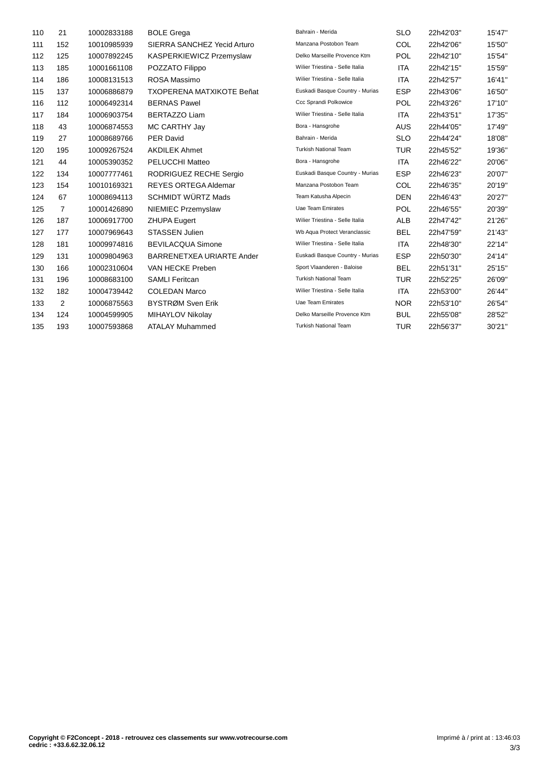| 110 | 21             | 10002833188 | <b>BOLE Grega</b>                | Bahrain - Merida                | <b>SLO</b> | 22h42'03" | 15'47" |
|-----|----------------|-------------|----------------------------------|---------------------------------|------------|-----------|--------|
| 111 | 152            | 10010985939 | SIERRA SANCHEZ Yecid Arturo      | Manzana Postobon Team           | <b>COL</b> | 22h42'06" | 15'50" |
| 112 | 125            | 10007892245 | KASPERKIEWICZ Przemyslaw         | Delko Marseille Provence Ktm    | <b>POL</b> | 22h42'10" | 15'54" |
| 113 | 185            | 10001661108 | POZZATO Filippo                  | Wilier Triestina - Selle Italia | <b>ITA</b> | 22h42'15" | 15'59" |
| 114 | 186            | 10008131513 | ROSA Massimo                     | Wilier Triestina - Selle Italia | <b>ITA</b> | 22h42'57" | 16'41" |
| 115 | 137            | 10006886879 | <b>TXOPERENA MATXIKOTE Beñat</b> | Euskadi Basque Country - Murias | <b>ESP</b> | 22h43'06" | 16'50" |
| 116 | 112            | 10006492314 | <b>BERNAS Pawel</b>              | Ccc Sprandi Polkowice           | <b>POL</b> | 22h43'26" | 17'10" |
| 117 | 184            | 10006903754 | <b>BERTAZZO Liam</b>             | Wilier Triestina - Selle Italia | <b>ITA</b> | 22h43'51" | 17'35" |
| 118 | 43             | 10006874553 | MC CARTHY Jay                    | Bora - Hansgrohe                | <b>AUS</b> | 22h44'05" | 17'49" |
| 119 | 27             | 10008689766 | <b>PER David</b>                 | Bahrain - Merida                | <b>SLO</b> | 22h44'24" | 18'08" |
| 120 | 195            | 10009267524 | <b>AKDILEK Ahmet</b>             | Turkish National Team           | <b>TUR</b> | 22h45'52" | 19'36" |
| 121 | 44             | 10005390352 | PELUCCHI Matteo                  | Bora - Hansgrohe                | <b>ITA</b> | 22h46'22" | 20'06" |
| 122 | 134            | 10007777461 | RODRIGUEZ RECHE Sergio           | Euskadi Basque Country - Murias | <b>ESP</b> | 22h46'23" | 20'07" |
| 123 | 154            | 10010169321 | <b>REYES ORTEGA Aldemar</b>      | Manzana Postobon Team           | <b>COL</b> | 22h46'35" | 20'19" |
| 124 | 67             | 10008694113 | SCHMIDT WÜRTZ Mads               | Team Katusha Alpecin            | <b>DEN</b> | 22h46'43" | 20'27" |
| 125 | $\overline{7}$ | 10001426890 | NIEMIEC Przemyslaw               | Uae Team Emirates               | <b>POL</b> | 22h46'55" | 20'39" |
| 126 | 187            | 10006917700 | <b>ZHUPA Eugert</b>              | Wilier Triestina - Selle Italia | <b>ALB</b> | 22h47'42" | 21'26" |
| 127 | 177            | 10007969643 | <b>STASSEN Julien</b>            | Wb Aqua Protect Veranclassic    | <b>BEL</b> | 22h47'59" | 21'43" |
| 128 | 181            | 10009974816 | <b>BEVILACQUA Simone</b>         | Wilier Triestina - Selle Italia | <b>ITA</b> | 22h48'30" | 22'14" |
| 129 | 131            | 10009804963 | BARRENETXEA URIARTE Ander        | Euskadi Basque Country - Murias | <b>ESP</b> | 22h50'30" | 24'14" |
| 130 | 166            | 10002310604 | VAN HECKE Preben                 | Sport Vlaanderen - Baloise      | <b>BEL</b> | 22h51'31" | 25'15" |
| 131 | 196            | 10008683100 | <b>SAMLI Feritcan</b>            | <b>Turkish National Team</b>    | <b>TUR</b> | 22h52'25" | 26'09" |
| 132 | 182            | 10004739442 | <b>COLEDAN Marco</b>             | Wilier Triestina - Selle Italia | <b>ITA</b> | 22h53'00" | 26'44" |
| 133 | 2              | 10006875563 | BYSTRØM Sven Erik                | Uae Team Emirates               | <b>NOR</b> | 22h53'10" | 26'54" |
| 134 | 124            | 10004599905 | MIHAYLOV Nikolay                 | Delko Marseille Provence Ktm    | <b>BUL</b> | 22h55'08" | 28'52" |
| 135 | 193            | 10007593868 | <b>ATALAY Muhammed</b>           | <b>Turkish National Team</b>    | <b>TUR</b> | 22h56'37" | 30'21" |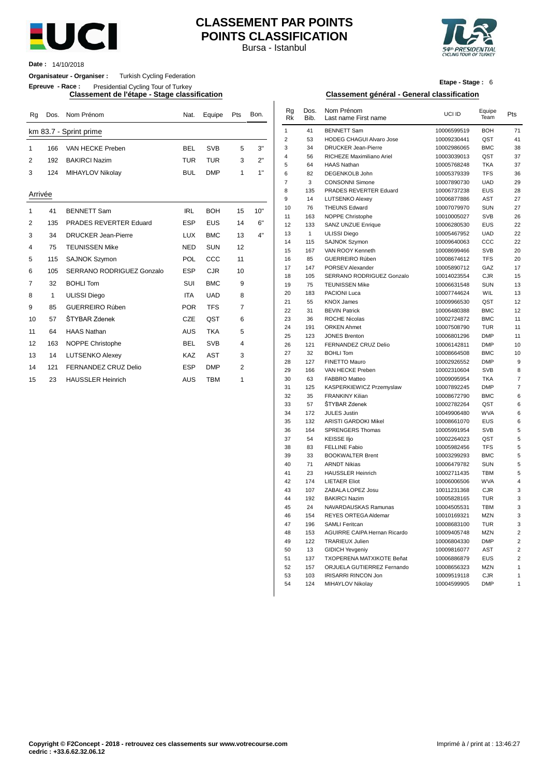

## **CLASSEMENT PAR POINTS POINTS CLASSIFICATION**

Bursa - Istanbul



**Date :** 14/10/2018

#### **Organisateur - Organiser :** Turkish Cycling Federation

**Epreuve - Race :** Presidential Cycling Tour of Turkey

**Classement de l'étape - Stage classification Classement général - General classification**

| Rg      | Dos. | Nom Prénom                    | Nat.       | Equipe     | Pts            | Bon. | Rg<br><b>Rk</b> | Dos.<br>Bib. | Nom Prénom<br>Last name First name  | UCI ID                     | Equipe<br>Team           | Pts                  |
|---------|------|-------------------------------|------------|------------|----------------|------|-----------------|--------------|-------------------------------------|----------------------------|--------------------------|----------------------|
|         |      | km 83.7 - Sprint prime        |            |            |                |      | $\mathbf{1}$    | 41           | <b>BENNETT Sam</b>                  | 10006599519                | <b>BOH</b>               | 71                   |
|         |      |                               |            |            |                |      | $\overline{2}$  | 53           | <b>HODEG CHAGUI Alvaro Jose</b>     | 10009230441                | QST                      | 41                   |
| 1       | 166  | VAN HECKE Preben              | <b>BEL</b> | <b>SVB</b> | 5              | 3"   | 3               | 34           | <b>DRUCKER Jean-Pierre</b>          | 10002986065                | <b>BMC</b>               | 38                   |
| 2       | 192  | <b>BAKIRCI Nazim</b>          | <b>TUR</b> | <b>TUR</b> | 3              | 2"   | 4               | 56           | RICHEZE Maximiliano Ariel           | 10003039013                | QST                      | 37                   |
|         |      |                               |            |            |                |      | 5               | 64           | <b>HAAS Nathan</b>                  | 10005768248                | <b>TKA</b>               | 37                   |
| 3       | 124  | MIHAYLOV Nikolay              | <b>BUL</b> | <b>DMP</b> | 1              | 1"   | 6               | 82           | <b>DEGENKOLB John</b>               | 10005379339                | <b>TFS</b>               | 36                   |
|         |      |                               |            |            |                |      | $\overline{7}$  | 3            | <b>CONSONNI Simone</b>              | 10007890730                | <b>UAD</b>               | 29                   |
| Arrivée |      |                               |            |            |                |      | 8               | 135          | PRADES REVERTER Eduard              | 10006737238                | EUS                      | 28                   |
|         |      |                               |            |            |                |      | 9               | 14           | <b>LUTSENKO Alexey</b>              | 10006877886                | <b>AST</b>               | 27                   |
| 1       | 41   | <b>BENNETT Sam</b>            | <b>IRL</b> | <b>BOH</b> | 15             | 10"  | 10              | 76           | <b>THEUNS Edward</b>                | 10007079970                | SUN                      | 27                   |
|         |      |                               |            |            |                |      | 11              | 163          | NOPPE Christophe                    | 10010005027                | <b>SVB</b>               | 26                   |
| 2       | 135  | <b>PRADES REVERTER Eduard</b> | <b>ESP</b> | <b>EUS</b> | 14             | 6"   | 12              | 133          | <b>SANZ UNZUE Enrique</b>           | 10006280530                | EUS                      | $\overline{22}$      |
| 3       | 34   | <b>DRUCKER Jean-Pierre</b>    | <b>LUX</b> | <b>BMC</b> | 13             | 4"   | 13              | 1            | <b>ULISSI Diego</b>                 | 10005467952                | <b>UAD</b>               | 22                   |
| 4       | 75   | <b>TEUNISSEN Mike</b>         | <b>NED</b> | <b>SUN</b> | 12             |      | 14              | 115          | <b>SAJNOK Szymon</b>                | 10009640063                | CCC                      | 22                   |
|         |      |                               |            |            |                |      | 15              | 167          | VAN ROOY Kenneth                    | 10008699466                | <b>SVB</b>               | 20                   |
| 5       | 115  | <b>SAJNOK Szymon</b>          | POL        | CCC        | 11             |      | 16              | 85           | GUERREIRO Rúben                     | 10008674612                | <b>TFS</b>               | 20                   |
| 6       | 105  | SERRANO RODRIGUEZ Gonzalo     | <b>ESP</b> | <b>CJR</b> | 10             |      | 17              | 147          | PORSEV Alexander                    | 10005890712                | GAZ                      | 17                   |
|         |      | <b>BOHLI Tom</b>              | SUI        | <b>BMC</b> | 9              |      | 18              | 105          | SERRANO RODRIGUEZ Gonzalo           | 10014023554                | <b>CJR</b>               | 15                   |
| 7       | 32   |                               |            |            |                |      | 19              | 75           | <b>TEUNISSEN Mike</b>               | 10006631548                | SUN                      | 13                   |
| 8       | 1    | <b>ULISSI Diego</b>           | <b>ITA</b> | <b>UAD</b> | 8              |      | 20              | 183          | <b>PACIONI Luca</b>                 | 10007744624                | WIL                      | 13                   |
| 9       | 85   | GUERREIRO Rúben               | <b>POR</b> | <b>TFS</b> | $\overline{7}$ |      | 21              | 55           | <b>KNOX James</b>                   | 10009966530                | QST                      | 12                   |
|         |      |                               |            |            |                |      | 22              | 31           | <b>BEVIN Patrick</b>                | 10006480388                | <b>BMC</b>               | 12                   |
| 10      | 57   | ŠTYBAR Zdenek                 | <b>CZE</b> | QST        | 6              |      | 23              | 36           | <b>ROCHE Nicolas</b>                | 10002724872                | <b>BMC</b>               | 11                   |
| 11      | 64   | <b>HAAS Nathan</b>            | <b>AUS</b> | <b>TKA</b> | 5              |      | 24              | 191          | <b>ORKEN Ahmet</b><br>JONES Brenton | 10007508790                | <b>TUR</b>               | 11                   |
| 12      | 163  | <b>NOPPE Christophe</b>       | <b>BEL</b> | <b>SVB</b> | 4              |      | 25<br>26        | 123<br>121   | FERNANDEZ CRUZ Delio                | 10006801296<br>10006142811 | <b>DMP</b><br><b>DMP</b> | 11<br>1 <sub>0</sub> |
|         |      |                               |            |            |                |      | 27              | 32           | <b>BOHLI Tom</b>                    | 10008664508                | <b>BMC</b>               | 1 <sup>1</sup>       |
| 13      | 14   | <b>LUTSENKO Alexey</b>        | <b>KAZ</b> | <b>AST</b> | 3              |      | 28              | 127          | FINETTO Mauro                       | 10002926552                | <b>DMP</b>               |                      |
| 14      | 121  | FERNANDEZ CRUZ Delio          | <b>ESP</b> | <b>DMP</b> | $\overline{2}$ |      | 29              | 166          | VAN HECKE Preben                    | 10002310604                | <b>SVB</b>               |                      |
| 15      | 23   | <b>HAUSSLER Heinrich</b>      | <b>AUS</b> | <b>TBM</b> | 1              |      | 30              | 63           | <b>FABBRO Matteo</b>                | 10009095954                | <b>TKA</b>               |                      |
|         |      |                               |            |            |                |      |                 |              |                                     |                            |                          |                      |

# **Etape - Stage :** 6

| Rg      |              | Dos. Nom Prénom            |            | Nat. Equipe | Pts | Bon. | Rg<br>Rk       | Dos.<br>Bib. | Nom Prénom<br>Last name First name                 | UCI ID                     | Equipe<br>Team           | Pts |
|---------|--------------|----------------------------|------------|-------------|-----|------|----------------|--------------|----------------------------------------------------|----------------------------|--------------------------|-----|
|         |              | km 83.7 - Sprint prime     |            |             |     |      | $\mathbf{1}$   | 41           | <b>BENNETT Sam</b>                                 | 10006599519                | <b>BOH</b>               |     |
|         |              |                            |            |             |     |      | 2              | 53           | HODEG CHAGUI Alvaro Jose                           | 10009230441                | QST                      |     |
| 1       | 166          | VAN HECKE Preben           | <b>BEL</b> | <b>SVB</b>  | 5   | 3"   | 3              | 34           | DRUCKER Jean-Pierre                                | 10002986065                | <b>BMC</b>               |     |
| 2       | 192          | <b>BAKIRCI Nazim</b>       | TUR        | TUR         | 3   | 2"   | 4              | 56           | RICHEZE Maximiliano Ariel                          | 10003039013                | QST                      |     |
|         |              |                            |            |             |     |      | 5              | 64           | <b>HAAS Nathan</b>                                 | 10005768248                | <b>TKA</b>               |     |
| 3       | 124          | MIHAYLOV Nikolay           | <b>BUL</b> | <b>DMP</b>  | 1   | 1"   | 6              | 82           | DEGENKOLB John                                     | 10005379339                | <b>TFS</b>               |     |
|         |              |                            |            |             |     |      | $\overline{7}$ | 3            | <b>CONSONNI Simone</b>                             | 10007890730                | UAD                      |     |
| Arrivée |              |                            |            |             |     |      | 8              | 135          | PRADES REVERTER Eduard                             | 10006737238                | <b>EUS</b>               |     |
|         |              |                            |            |             |     |      | 9              | 14           | <b>LUTSENKO Alexey</b>                             | 10006877886                | AST                      |     |
| 1       | 41           | <b>BENNETT Sam</b>         | <b>IRL</b> | <b>BOH</b>  | 15  | 10"  | 10<br>11       | 76           | <b>THEUNS Edward</b><br>NOPPE Christophe           | 10007079970                | <b>SUN</b><br><b>SVB</b> |     |
| 2       | 135          | PRADES REVERTER Eduard     | <b>ESP</b> | <b>EUS</b>  | 14  | 6"   | 12             | 163<br>133   | <b>SANZ UNZUE Enrique</b>                          | 10010005027<br>10006280530 | <b>EUS</b>               |     |
|         |              |                            |            |             |     |      | 13             | $\mathbf{1}$ | <b>ULISSI Diego</b>                                | 10005467952                | <b>UAD</b>               |     |
| 3       | 34           | <b>DRUCKER Jean-Pierre</b> | LUX        | <b>BMC</b>  | 13  | 4"   | 14             | 115          | SAJNOK Szymon                                      | 10009640063                | ccc                      |     |
| 4       | 75           | <b>TEUNISSEN Mike</b>      | <b>NED</b> | <b>SUN</b>  | 12  |      | 15             | 167          | VAN ROOY Kenneth                                   | 10008699466                | <b>SVB</b>               |     |
| 5       | 115          | <b>SAJNOK Szymon</b>       | POL        | CCC         | 11  |      | 16             | 85           | GUERREIRO Rúben                                    | 10008674612                | <b>TFS</b>               |     |
|         |              |                            |            |             |     |      | 17             | 147          | PORSEV Alexander                                   | 10005890712                | GAZ                      |     |
| 6       | 105          | SERRANO RODRIGUEZ Gonzalo  | <b>ESP</b> | <b>CJR</b>  | 10  |      | 18             | 105          | SERRANO RODRIGUEZ Gonzalo                          | 10014023554                | <b>CJR</b>               |     |
| 7       | 32           | <b>BOHLI Tom</b>           | SUI        | <b>BMC</b>  | 9   |      | 19             | 75           | <b>TEUNISSEN Mike</b>                              | 10006631548                | <b>SUN</b>               |     |
| 8       | $\mathbf{1}$ | <b>ULISSI Diego</b>        | ITA        | <b>UAD</b>  | 8   |      | 20             | 183          | PACIONI Luca                                       | 10007744624                | WIL                      |     |
|         |              |                            |            |             |     |      | 21             | 55           | <b>KNOX James</b>                                  | 10009966530                | QST                      |     |
| 9       | 85           | <b>GUERREIRO Rúben</b>     | <b>POR</b> | <b>TFS</b>  | 7   |      | 22             | 31           | <b>BEVIN Patrick</b>                               | 10006480388                | <b>BMC</b>               |     |
| 10      | 57           | <b>STYBAR Zdenek</b>       | CZE        | QST         | 6   |      | 23             | 36           | <b>ROCHE Nicolas</b>                               | 10002724872                | <b>BMC</b>               |     |
| 11      | 64           | <b>HAAS Nathan</b>         | AUS        | <b>TKA</b>  | 5   |      | 24             | 191          | <b>ORKEN Ahmet</b>                                 | 10007508790                | <b>TUR</b>               |     |
|         |              |                            |            |             |     |      | 25             | 123          | <b>JONES Brenton</b>                               | 10006801296                | <b>DMP</b>               |     |
| 12      | 163          | NOPPE Christophe           | <b>BEL</b> | <b>SVB</b>  | 4   |      | 26             | 121          | FERNANDEZ CRUZ Delio                               | 10006142811                | <b>DMP</b>               |     |
| 13      | 14           | <b>LUTSENKO Alexey</b>     | KAZ        | AST         | 3   |      | 27             | 32           | <b>BOHLI Tom</b>                                   | 10008664508                | <b>BMC</b>               |     |
| 14      | 121          | FERNANDEZ CRUZ Delio       | <b>ESP</b> | <b>DMP</b>  | 2   |      | 28             | 127          | <b>FINETTO Mauro</b>                               | 10002926552                | <b>DMP</b>               |     |
|         |              |                            |            |             |     |      | 29             | 166          | VAN HECKE Preben                                   | 10002310604                | <b>SVB</b>               |     |
| 15      | 23           | <b>HAUSSLER Heinrich</b>   | AUS        | <b>TBM</b>  | 1   |      | 30             | 63           | <b>FABBRO Matteo</b>                               | 10009095954                | <b>TKA</b>               |     |
|         |              |                            |            |             |     |      | 31             | 125          | KASPERKIEWICZ Przemyslaw                           | 10007892245                | <b>DMP</b>               |     |
|         |              |                            |            |             |     |      | 32             | 35           | <b>FRANKINY Kilian</b>                             | 10008672790                | <b>BMC</b>               |     |
|         |              |                            |            |             |     |      | 33<br>34       | 57<br>172    | ŠTYBAR Zdenek                                      | 10002782264                | QST<br><b>WVA</b>        |     |
|         |              |                            |            |             |     |      | 35             | 132          | <b>JULES Justin</b><br><b>ARISTI GARDOKI Mikel</b> | 10049906480<br>10008661070 | <b>EUS</b>               |     |
|         |              |                            |            |             |     |      | 36             | 164          | SPRENGERS Thomas                                   | 10005991954                | <b>SVB</b>               |     |
|         |              |                            |            |             |     |      | 37             | 54           | <b>KEISSE IIjo</b>                                 | 10002264023                | QST                      |     |
|         |              |                            |            |             |     |      | 38             | 83           | <b>FELLINE Fabio</b>                               | 10005982456                | TFS                      |     |
|         |              |                            |            |             |     |      | 39             | 33           | <b>BOOKWALTER Brent</b>                            | 10003299293                | <b>BMC</b>               |     |
|         |              |                            |            |             |     |      | 40             | 71           | <b>ARNDT Nikias</b>                                | 10006479782                | <b>SUN</b>               |     |
|         |              |                            |            |             |     |      | 41             | 23           | <b>HAUSSLER Heinrich</b>                           | 10002711435                | <b>TBM</b>               |     |
|         |              |                            |            |             |     |      | 42             | 174          | <b>LIETAER Eliot</b>                               | 10006006506                | <b>WVA</b>               |     |
|         |              |                            |            |             |     |      | 43             | 107          | ZABALA LOPEZ Josu                                  | 10011231368                | CJR                      |     |
|         |              |                            |            |             |     |      | 44             | 192          | <b>BAKIRCI Nazim</b>                               | 10005828165                | <b>TUR</b>               |     |
|         |              |                            |            |             |     |      | 45             | 24           | NAVARDAUSKAS Ramunas                               | 10004505531                | <b>TBM</b>               |     |
|         |              |                            |            |             |     |      | 46             | 154          | REYES ORTEGA Aldemar                               | 10010169321                | <b>MZN</b>               |     |
|         |              |                            |            |             |     |      | 47             | 196          | <b>SAMLI Feritcan</b>                              | 10008683100                | <b>TUR</b>               |     |
|         |              |                            |            |             |     |      | 48             | 153          | AGUIRRE CAIPA Hernan Ricardo                       | 10009405748                | <b>MZN</b>               |     |
|         |              |                            |            |             |     |      | 49             | 122          | <b>TRARIEUX Julien</b>                             | 10006804330                | <b>DMP</b>               |     |
|         |              |                            |            |             |     |      | 50             | 13           | <b>GIDICH Yevgeniy</b>                             | 10009816077                | AST                      |     |
|         |              |                            |            |             |     |      | 51             | 137          | TXOPERENA MATXIKOTE Beñat                          | 10006886879                | EUS                      |     |
|         |              |                            |            |             |     |      | 52             | 157          | ORJUELA GUTIERREZ Fernando                         | 10008656323                | <b>MZN</b>               |     |
|         |              |                            |            |             |     |      | 53             | 103          | <b>IRISARRI RINCON Jon</b>                         | 10009519118                | <b>CJR</b>               |     |
|         |              |                            |            |             |     |      | 54             | 124          | MIHAYLOV Nikolay                                   | 10004599905                | <b>DMP</b>               |     |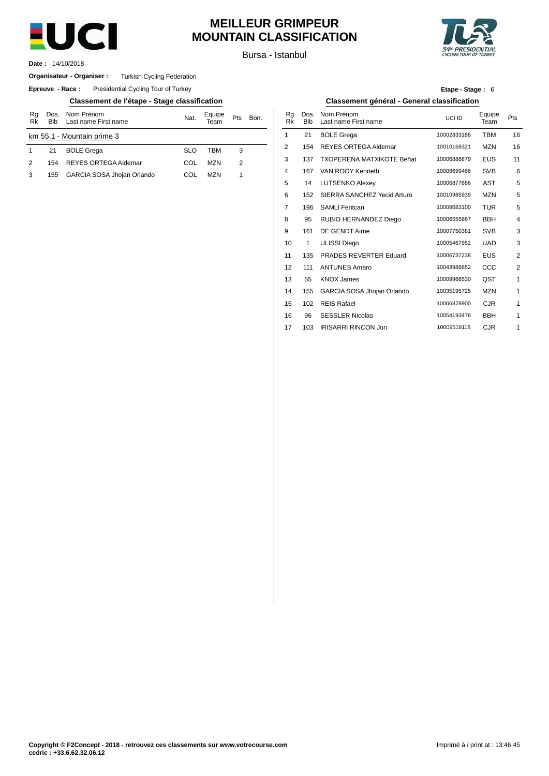

## **MEILLEUR GRIMPEUR MOUNTAIN CLASSIFICATION**

Bursa - Istanbul

14/10/2018 **Date :**

#### **Organisateur - Organiser :** Turkish Cycling Federation

**Epreuve - Race:** Presidential Cycling Tour of Turkey

#### **Classement de l'étape - Stage classification Classement général - General classification**

| Rq<br>Rk | <b>Bib</b> | Dos. Nom Prénom<br>Last name First name | Nat.       | Equipe<br>Team | Pts | Bon. | Rq<br>Rk       | Dos<br>Bit |
|----------|------------|-----------------------------------------|------------|----------------|-----|------|----------------|------------|
|          |            | km 55.1 - Mountain prime 3              |            |                |     |      |                | 21         |
|          | 21         | <b>BOLE Grega</b>                       | <b>SLO</b> | TBM            | 3   |      | $\overline{2}$ | 154        |
| 2        | 154        | <b>REYES ORTEGA Aldemar</b>             | COL        | <b>MZN</b>     | 2   |      | 3              | 137        |
|          | 155        | GARCIA SOSA Jhojan Orlando              | COL        | <b>MZN</b>     |     |      | 4              | 167        |
|          |            |                                         |            |                |     |      |                |            |

| Etape - Stage: 6 |  |  |  |
|------------------|--|--|--|
|------------------|--|--|--|

| Bon. | Rg<br><b>Rk</b> | Dos.<br><b>Bib</b> | Nom Prénom<br>Last name First name | UCI ID      | Equipe<br>Team | Pts            |
|------|-----------------|--------------------|------------------------------------|-------------|----------------|----------------|
|      | 1               | 21                 | <b>BOLE Grega</b>                  | 10002833188 | <b>TBM</b>     | 16             |
|      | $\overline{2}$  | 154                | <b>REYES ORTEGA Aldemar</b>        | 10010169321 | <b>MZN</b>     | 16             |
|      | 3               | 137                | <b>TXOPERENA MATXIKOTE Beñat</b>   | 10006886879 | <b>EUS</b>     | 11             |
|      | 4               | 167                | VAN ROOY Kenneth                   | 10008699466 | <b>SVB</b>     | 6              |
|      | 5               | 14                 | <b>LUTSENKO Alexey</b>             | 10006877886 | AST            | 5              |
|      | 6               | 152                | SIERRA SANCHEZ Yecid Arturo        | 10010985939 | <b>MZN</b>     | 5              |
|      | $\overline{7}$  | 196                | <b>SAMLI Feritcan</b>              | 10008683100 | <b>TUR</b>     | 5              |
|      | 8               | 95                 | RUBIO HERNANDEZ Diego              | 10006555867 | <b>BBH</b>     | $\overline{4}$ |
|      | 9               | 161                | DE GENDT Aime                      | 10007750381 | <b>SVB</b>     | 3              |
|      | 10              | 1                  | <b>ULISSI Diego</b>                | 10005467952 | <b>UAD</b>     | 3              |
|      | 11              | 135                | PRADES REVERTER Eduard             | 10006737238 | <b>EUS</b>     | $\overline{2}$ |
|      | 12              | 111                | <b>ANTUNES Amaro</b>               | 10043986652 | CCC            | $\overline{2}$ |
|      | 13              | 55                 | <b>KNOX James</b>                  | 10009966530 | QST            | 1              |
|      | 14              | 155                | GARCIA SOSA Jhojan Orlando         | 10035195725 | <b>MZN</b>     | 1              |
|      | 15              | 102                | <b>REIS Rafael</b>                 | 10006878900 | CJR            | 1              |
|      | 16              | 96                 | <b>SESSLER Nicolas</b>             | 10054193476 | <b>BBH</b>     | 1              |
|      | 17              | 103                | <b>IRISARRI RINCON Jon</b>         | 10009519118 | <b>CJR</b>     | 1              |
|      |                 |                    |                                    |             |                |                |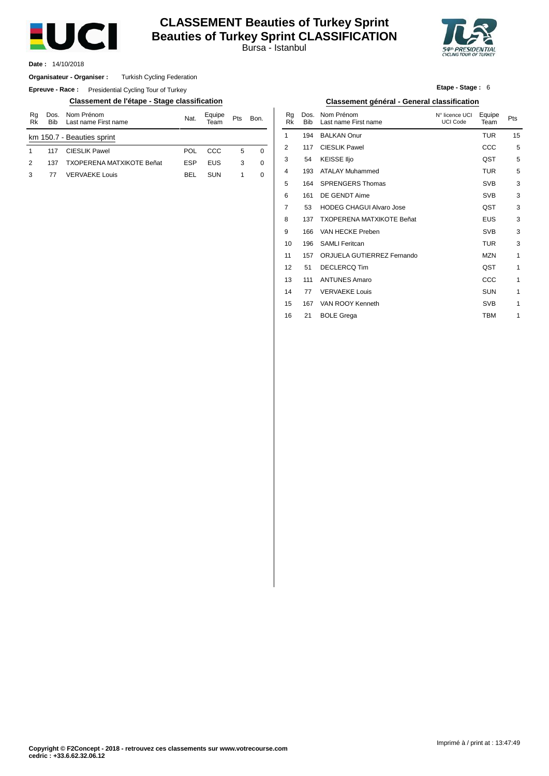

## **CLASSEMENT Beauties of Turkey Sprint Beauties of Turkey Sprint CLASSIFICATION**

Bursa - Istanbul



14/10/2018 **Date :**

#### **Organisateur - Organiser :** Turkish Cycling Federation

**Epreuve - Race:** Presidential Cycling Tour of Turkey

#### **Classement de l'étape - Stage classification Classement général - General classification**

| Rg<br>Rk                   | <b>Bib</b> | Dos. Nom Prénom<br>Last name First name | Nat.       | Equipe<br>Team | Pts | Bon.     |  |  |  |
|----------------------------|------------|-----------------------------------------|------------|----------------|-----|----------|--|--|--|
| km 150.7 - Beauties sprint |            |                                         |            |                |     |          |  |  |  |
|                            | 117        | <b>CIESLIK Pawel</b>                    | POL        | -CCC           | 5   | 0        |  |  |  |
| $\mathcal{P}$              | 137        | <b>TXOPERENA MATXIKOTE Beñat</b>        | <b>FSP</b> | <b>FUS</b>     | 3   | $\Omega$ |  |  |  |
| з                          | 77         | <b>VERVAEKE Louis</b>                   | BFI.       | <b>SUN</b>     |     |          |  |  |  |

| Etape - Stage: 6 |  |  |
|------------------|--|--|
|                  |  |  |

| Bon. | Rg<br>Rk | Dos.<br><b>Bib</b> | Nom Prénom<br>Last name First name | N° licence UCI<br><b>UCI Code</b> | Equipe<br>Team | Pts |
|------|----------|--------------------|------------------------------------|-----------------------------------|----------------|-----|
|      | 1        | 194                | <b>BALKAN Onur</b>                 |                                   | <b>TUR</b>     | 15  |
| 0    | 2        | 117                | <b>CIESLIK Pawel</b>               |                                   | CCC            | 5   |
| 0    | 3        | 54                 | <b>KEISSE IIjo</b>                 |                                   | QST            | 5   |
| 0    | 4        | 193                | <b>ATALAY Muhammed</b>             |                                   | <b>TUR</b>     | 5   |
|      | 5        | 164                | <b>SPRENGERS Thomas</b>            |                                   | <b>SVB</b>     | 3   |
|      | 6        | 161                | DE GENDT Aime                      |                                   | <b>SVB</b>     | 3   |
|      | 7        | 53                 | <b>HODEG CHAGUI Alvaro Jose</b>    |                                   | QST            | 3   |
|      | 8        | 137                | <b>TXOPERENA MATXIKOTE Beñat</b>   |                                   | <b>EUS</b>     | 3   |
|      | 9        | 166                | VAN HECKE Preben                   |                                   | <b>SVB</b>     | 3   |
|      | 10       | 196                | <b>SAMLI Feritcan</b>              |                                   | <b>TUR</b>     | 3   |
|      | 11       | 157                | ORJUELA GUTIERREZ Fernando         |                                   | <b>MZN</b>     | 1   |
|      | 12       | 51                 | <b>DECLERCQ Tim</b>                |                                   | QST            | 1   |
|      | 13       | 111                | <b>ANTUNES Amaro</b>               |                                   | CCC            | 1   |
|      | 14       | 77                 | <b>VERVAEKE Louis</b>              |                                   | <b>SUN</b>     | 1   |
|      | 15       | 167                | VAN ROOY Kenneth                   |                                   | <b>SVB</b>     | 1   |
|      | 16       | 21                 | <b>BOLE Grega</b>                  |                                   | <b>TBM</b>     | 1   |
|      |          |                    |                                    |                                   |                |     |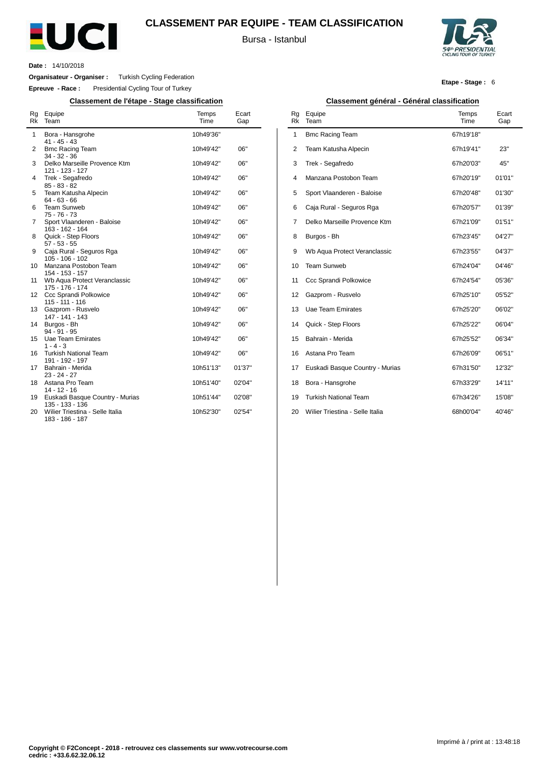

#### **CLASSEMENT PAR EQUIPE - TEAM CLASSIFICATION**

Bursa - Istanbul



**Etape - Stage :** 6

**Date :** 14/10/2018

 $\overline{a}$ 

**Organisateur - Organiser :** Turkish Cycling Federation

**Epreuve - Race :** Presidential Cycling Tour of Turkey

**Classement de l'étape - Stage classification Classement général - Général classification**

| Rg<br>Rk | Equipe<br>Team                                                           | Temps<br>Time          | Ecart<br>Gap |
|----------|--------------------------------------------------------------------------|------------------------|--------------|
| 1        | Bora - Hansgrohe<br>$41 - 45 - 43$                                       | 10h49'36"              |              |
| 2        | <b>Bmc Racing Team</b><br>$34 - 32 - 36$                                 | 10h49'42"              | 06"          |
| 3        | Delko Marseille Provence Ktm<br>121 - 123 - 127                          | 10h49'42"              | 06"          |
| 4        | Trek - Segafredo<br>$85 - 83 - 82$                                       | 10h49'42"              | 06"          |
| 5        | Team Katusha Alpecin<br>$64 - 63 - 66$                                   | 10h49'42"              | 06"          |
| 6        | <b>Team Sunweb</b><br>$75 - 76 - 73$                                     | 10h49'42"              | 06"          |
| 7        | Sport Vlaanderen - Baloise<br>163 - 162 - 164                            | 10h49'42"              | 06"          |
| 8        | Quick - Step Floors<br>$57 - 53 - 55$                                    | 10h49'42"              | 06"          |
| 9        | Caja Rural - Seguros Rga<br>$105 - 106 - 102$                            | 10h49'42"              | 06"          |
| 10<br>11 | Manzana Postobon Team<br>154 - 153 - 157<br>Wb Aqua Protect Veranclassic | 10h49'42"<br>10h49'42" | 06"<br>06"   |
| 12       | 175 - 176 - 174<br>Ccc Sprandi Polkowice                                 | 10h49'42"              | 06"          |
| 13       | $115 - 111 - 116$<br>Gazprom - Rusvelo                                   | 10h49'42"              | 06"          |
| 14       | 147 - 141 - 143<br>Burgos - Bh                                           | 10h49'42"              | 06"          |
| 15       | $94 - 91 - 95$<br><b>Uae Team Emirates</b>                               | 10h49'42"              | 06"          |
| 16       | $1 - 4 - 3$<br><b>Turkish National Team</b>                              | 10h49'42"              | 06"          |
| 17       | 191 - 192 - 197<br>Bahrain - Merida                                      | 10h51'13"              | 01'37"       |
| 18       | $23 - 24 - 27$<br>Astana Pro Team                                        | 10h51'40"              | 02'04"       |
| 19       | $14 - 12 - 16$<br>Euskadi Basque Country - Murias                        | 10h51'44"              | 02'08"       |
| 20       | 135 - 133 - 136<br>Wilier Triestina - Selle Italia<br>183 - 186 - 187    | 10h52'30"              | 02'54"       |

| Rg<br><b>Rk</b> | Equipe<br>Team                  | Temps<br>Time | Ecart<br>Gap |
|-----------------|---------------------------------|---------------|--------------|
| 1               | <b>Bmc Racing Team</b>          | 67h19'18"     |              |
| $\overline{2}$  | Team Katusha Alpecin            | 67h19'41"     | 23"          |
| 3               | Trek - Segafredo                | 67h20'03"     | 45"          |
| $\overline{4}$  | Manzana Postobon Team           | 67h20'19"     | 01'01"       |
| 5               | Sport Vlaanderen - Baloise      | 67h20'48"     | 01'30"       |
| 6               | Caja Rural - Seguros Rga        | 67h20'57"     | 01'39"       |
| 7               | Delko Marseille Provence Ktm    | 67h21'09"     | 01'51"       |
| 8               | Burgos - Bh                     | 67h23'45"     | 04'27"       |
| 9               | Wb Aqua Protect Veranclassic    | 67h23'55"     | 04'37"       |
| 10              | <b>Team Sunweb</b>              | 67h24'04"     | 04'46"       |
| 11              | Ccc Sprandi Polkowice           | 67h24'54"     | 05'36"       |
| 12              | Gazprom - Rusvelo               | 67h25'10"     | 05'52"       |
| 13              | Uae Team Emirates               | 67h25'20"     | 06'02"       |
| 14              | Quick - Step Floors             | 67h25'22"     | 06'04"       |
| 15              | Bahrain - Merida                | 67h25'52"     | 06'34"       |
| 16              | Astana Pro Team                 | 67h26'09"     | 06'51"       |
| 17              | Euskadi Basque Country - Murias | 67h31'50"     | 12'32"       |
| 18              | Bora - Hansgrohe                | 67h33'29"     | 14'11"       |
| 19              | <b>Turkish National Team</b>    | 67h34'26"     | 15'08"       |
| 20              | Wilier Triestina - Selle Italia | 68h00'04"     | 40'46"       |